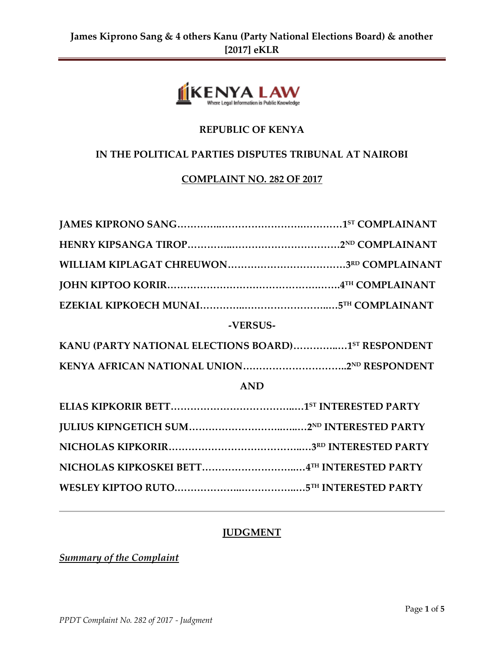

# **REPUBLIC OF KENYA**

### **IN THE POLITICAL PARTIES DISPUTES TRIBUNAL AT NAIROBI**

### **COMPLAINT NO. 282 OF 2017**

### **JUDGMENT**

*Summary of the Complaint*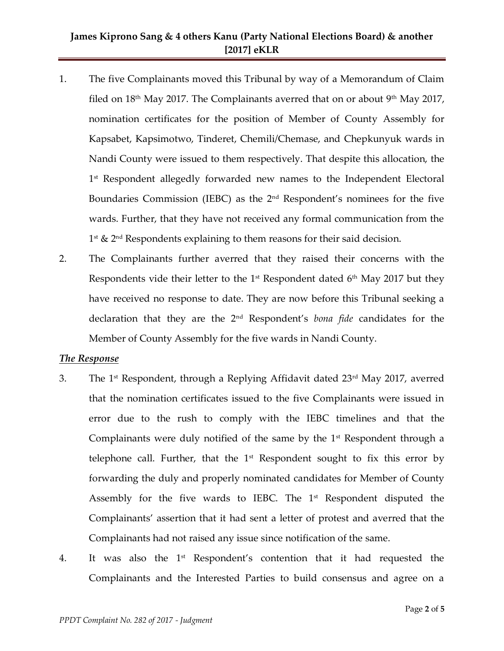### **James Kiprono Sang & 4 others Kanu (Party National Elections Board) & another [2017] eKLR**

- 1. The five Complainants moved this Tribunal by way of a Memorandum of Claim filed on  $18<sup>th</sup>$  May 2017. The Complainants averred that on or about  $9<sup>th</sup>$  May 2017, nomination certificates for the position of Member of County Assembly for Kapsabet, Kapsimotwo, Tinderet, Chemili/Chemase, and Chepkunyuk wards in Nandi County were issued to them respectively. That despite this allocation, the 1 st Respondent allegedly forwarded new names to the Independent Electoral Boundaries Commission (IEBC) as the 2nd Respondent's nominees for the five wards. Further, that they have not received any formal communication from the 1<sup>st</sup> & 2<sup>nd</sup> Respondents explaining to them reasons for their said decision.
- 2. The Complainants further averred that they raised their concerns with the Respondents vide their letter to the  $1<sup>st</sup>$  Respondent dated  $6<sup>th</sup>$  May 2017 but they have received no response to date. They are now before this Tribunal seeking a declaration that they are the 2nd Respondent's *bona fide* candidates for the Member of County Assembly for the five wards in Nandi County.

#### *The Response*

- 3. The 1<sup>st</sup> Respondent, through a Replying Affidavit dated  $23<sup>rd</sup>$  May 2017, averred that the nomination certificates issued to the five Complainants were issued in error due to the rush to comply with the IEBC timelines and that the Complainants were duly notified of the same by the  $1<sup>st</sup>$  Respondent through a telephone call. Further, that the  $1<sup>st</sup>$  Respondent sought to fix this error by forwarding the duly and properly nominated candidates for Member of County Assembly for the five wards to IEBC. The  $1<sup>st</sup>$  Respondent disputed the Complainants' assertion that it had sent a letter of protest and averred that the Complainants had not raised any issue since notification of the same.
- 4. It was also the  $1<sup>st</sup>$  Respondent's contention that it had requested the Complainants and the Interested Parties to build consensus and agree on a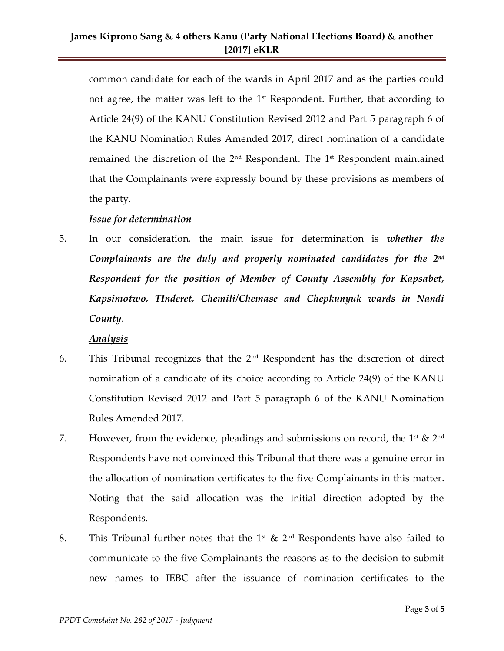common candidate for each of the wards in April 2017 and as the parties could not agree, the matter was left to the  $1<sup>st</sup>$  Respondent. Further, that according to Article 24(9) of the KANU Constitution Revised 2012 and Part 5 paragraph 6 of the KANU Nomination Rules Amended 2017, direct nomination of a candidate remained the discretion of the  $2<sup>nd</sup>$  Respondent. The  $1<sup>st</sup>$  Respondent maintained that the Complainants were expressly bound by these provisions as members of the party.

#### *Issue for determination*

5. In our consideration, the main issue for determination is *whether the Complainants are the duly and properly nominated candidates for the 2nd Respondent for the position of Member of County Assembly for Kapsabet, Kapsimotwo, TInderet, Chemili/Chemase and Chepkunyuk wards in Nandi County*.

### *Analysis*

- 6. This Tribunal recognizes that the  $2<sup>nd</sup>$  Respondent has the discretion of direct nomination of a candidate of its choice according to Article 24(9) of the KANU Constitution Revised 2012 and Part 5 paragraph 6 of the KANU Nomination Rules Amended 2017.
- 7. However, from the evidence, pleadings and submissions on record, the  $1^{\text{st}}$  &  $2^{\text{nd}}$ Respondents have not convinced this Tribunal that there was a genuine error in the allocation of nomination certificates to the five Complainants in this matter. Noting that the said allocation was the initial direction adopted by the Respondents.
- 8. This Tribunal further notes that the  $1^{st}$  &  $2^{nd}$  Respondents have also failed to communicate to the five Complainants the reasons as to the decision to submit new names to IEBC after the issuance of nomination certificates to the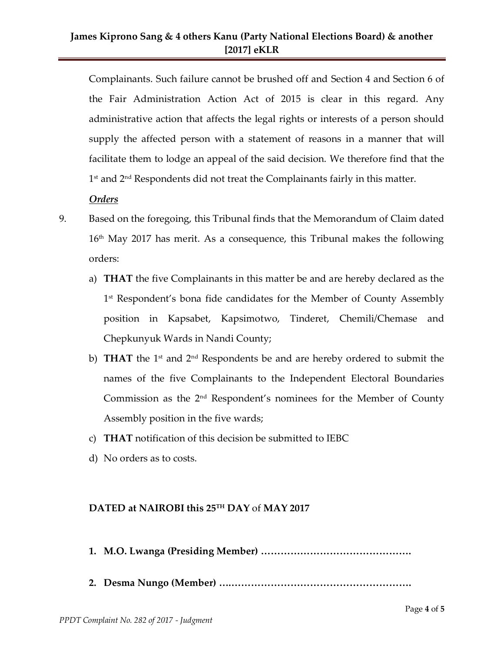Complainants. Such failure cannot be brushed off and Section 4 and Section 6 of the Fair Administration Action Act of 2015 is clear in this regard. Any administrative action that affects the legal rights or interests of a person should supply the affected person with a statement of reasons in a manner that will facilitate them to lodge an appeal of the said decision. We therefore find that the 1 st and 2nd Respondents did not treat the Complainants fairly in this matter.

### *Orders*

- 9. Based on the foregoing, this Tribunal finds that the Memorandum of Claim dated  $16<sup>th</sup>$  May 2017 has merit. As a consequence, this Tribunal makes the following orders:
	- a) **THAT** the five Complainants in this matter be and are hereby declared as the 1<sup>st</sup> Respondent's bona fide candidates for the Member of County Assembly position in Kapsabet, Kapsimotwo, Tinderet, Chemili/Chemase and Chepkunyuk Wards in Nandi County;
	- b) **THAT** the 1<sup>st</sup> and 2<sup>nd</sup> Respondents be and are hereby ordered to submit the names of the five Complainants to the Independent Electoral Boundaries Commission as the  $2<sup>nd</sup>$  Respondent's nominees for the Member of County Assembly position in the five wards;
	- c) **THAT** notification of this decision be submitted to IEBC
	- d) No orders as to costs.

### **DATED at NAIROBI this 25TH DAY** of **MAY 2017**

- **1. M.O. Lwanga (Presiding Member) ……………………………………….**
- **2. Desma Nungo (Member) ….……………………………………………….**